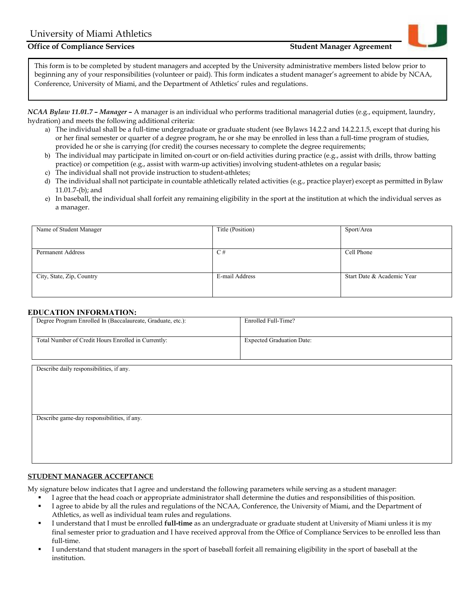# **Office of Compliance Services Student Manager Agreement Student Manager Agreement**



*NCAA Bylaw 11.01.7 – Manager* **–** A manager is an individual who performs traditional managerial duties (e.g., equipment, laundry, hydration) and meets the following additional criteria:

- a) The individual shall be a full-time undergraduate or graduate student (see Bylaws 14.2.2 and 14.2.2.1.5, except that during his or her final semester or quarter of a degree program, he or she may be enrolled in less than a full-time program of studies, provided he or she is carrying (for credit) the courses necessary to complete the degree requirements;
- b) The individual may participate in limited on-court or on-field activities during practice (e.g., assist with drills, throw batting practice) or competition (e.g., assist with warm-up activities) involving student-athletes on a regular basis;
- c) The individual shall not provide instruction to student-athletes;
- d) The individual shall not participate in countable athletically related activities (e.g., practice player) except as permitted in Bylaw 11.01.7-(b); and
- e) In baseball, the individual shall forfeit any remaining eligibility in the sport at the institution at which the individual serves as a manager.

| Name of Student Manager   | Title (Position) | Sport/Area                 |
|---------------------------|------------------|----------------------------|
|                           |                  |                            |
|                           |                  |                            |
|                           |                  |                            |
|                           |                  |                            |
| <b>Permanent Address</b>  | C#               | Cell Phone                 |
|                           |                  |                            |
|                           |                  |                            |
|                           |                  |                            |
|                           |                  |                            |
|                           |                  |                            |
| City, State, Zip, Country | E-mail Address   | Start Date & Academic Year |
|                           |                  |                            |
|                           |                  |                            |
|                           |                  |                            |
|                           |                  |                            |
|                           |                  |                            |

#### **EDUCATION INFORMATION:**

| Degree Program Enrolled In (Baccalaureate, Graduate, etc.): | Enrolled Full-Time?              |
|-------------------------------------------------------------|----------------------------------|
| Total Number of Credit Hours Enrolled in Currently:         | <b>Expected Graduation Date:</b> |
|                                                             |                                  |
| Describe daily responsibilities, if any.                    |                                  |
|                                                             |                                  |
|                                                             |                                  |
|                                                             |                                  |
| Describe game-day responsibilities, if any.                 |                                  |
|                                                             |                                  |
|                                                             |                                  |

### **STUDENT MANAGER ACCEPTANCE**

My signature below indicates that I agree and understand the following parameters while serving as a student manager:

- I agree that the head coach or appropriate administrator shall determine the duties and responsibilities of thisposition.
- I agree to abide by all the rules and regulations of the NCAA, Conference, the University of Miami, and the Department of Athletics, as well as individual team rules and regulations.
- I understand that I must be enrolled **full-time** as an undergraduate or graduate student at University of Miami unless it is my final semester prior to graduation and I have received approval from the Office of Compliance Services to be enrolled less than full-time.
- I understand that student managers in the sport of baseball forfeit all remaining eligibility in the sport of baseball at the institution.